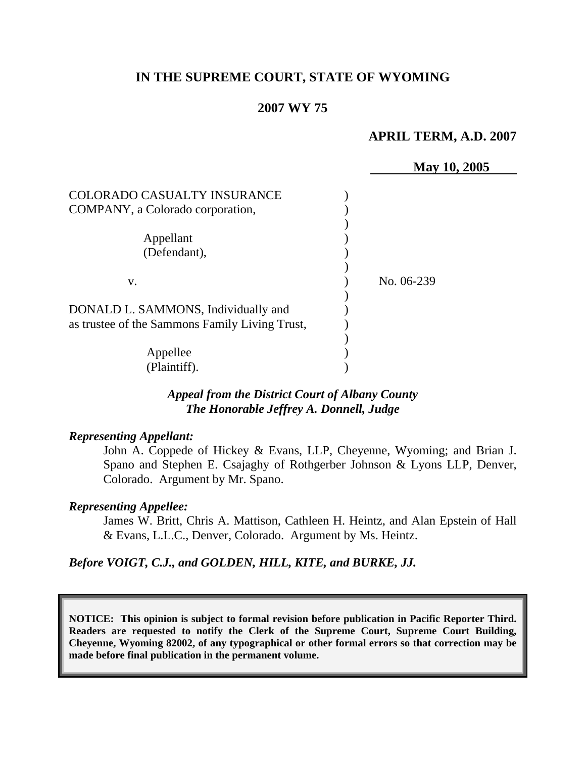## **IN THE SUPREME COURT, STATE OF WYOMING**

#### **2007 WY 75**

#### **APRIL TERM, A.D. 2007**

|                                                | May 10, 2005 |
|------------------------------------------------|--------------|
|                                                |              |
| <b>COLORADO CASUALTY INSURANCE</b>             |              |
| COMPANY, a Colorado corporation,               |              |
|                                                |              |
| Appellant                                      |              |
| (Defendant),                                   |              |
|                                                |              |
| V.                                             | No. 06-239   |
|                                                |              |
| DONALD L. SAMMONS, Individually and            |              |
| as trustee of the Sammons Family Living Trust, |              |
|                                                |              |
| Appellee                                       |              |
| (Plaintiff).                                   |              |

## *Appeal from the District Court of Albany County The Honorable Jeffrey A. Donnell, Judge*

#### *Representing Appellant:*

John A. Coppede of Hickey & Evans, LLP, Cheyenne, Wyoming; and Brian J. Spano and Stephen E. Csajaghy of Rothgerber Johnson & Lyons LLP, Denver, Colorado. Argument by Mr. Spano.

#### *Representing Appellee:*

James W. Britt, Chris A. Mattison, Cathleen H. Heintz, and Alan Epstein of Hall & Evans, L.L.C., Denver, Colorado. Argument by Ms. Heintz.

#### *Before VOIGT, C.J., and GOLDEN, HILL, KITE, and BURKE, JJ.*

**NOTICE: This opinion is subject to formal revision before publication in Pacific Reporter Third. Readers are requested to notify the Clerk of the Supreme Court, Supreme Court Building, Cheyenne, Wyoming 82002, of any typographical or other formal errors so that correction may be made before final publication in the permanent volume.**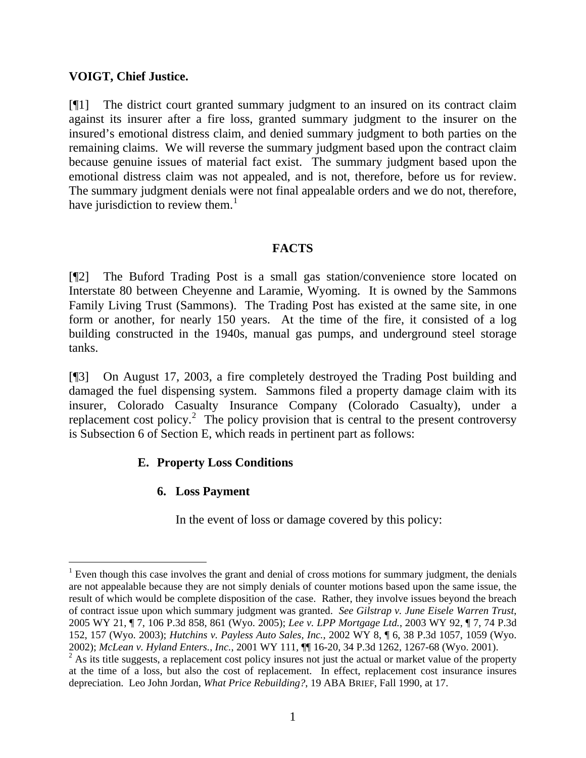## **VOIGT, Chief Justice.**

[¶1] The district court granted summary judgment to an insured on its contract claim against its insurer after a fire loss, granted summary judgment to the insurer on the insured's emotional distress claim, and denied summary judgment to both parties on the remaining claims. We will reverse the summary judgment based upon the contract claim because genuine issues of material fact exist. The summary judgment based upon the emotional distress claim was not appealed, and is not, therefore, before us for review. The summary judgment denials were not final appealable orders and we do not, therefore, have jurisdiction to review them. $<sup>1</sup>$  $<sup>1</sup>$  $<sup>1</sup>$ </sup>

## **FACTS**

[¶2] The Buford Trading Post is a small gas station/convenience store located on Interstate 80 between Cheyenne and Laramie, Wyoming. It is owned by the Sammons Family Living Trust (Sammons). The Trading Post has existed at the same site, in one form or another, for nearly 150 years. At the time of the fire, it consisted of a log building constructed in the 1940s, manual gas pumps, and underground steel storage tanks.

[¶3] On August 17, 2003, a fire completely destroyed the Trading Post building and damaged the fuel dispensing system. Sammons filed a property damage claim with its insurer, Colorado Casualty Insurance Company (Colorado Casualty), under a replacement cost policy.<sup>[2](#page-1-1)</sup> The policy provision that is central to the present controversy is Subsection 6 of Section E, which reads in pertinent part as follows:

# **E. Property Loss Conditions**

# **6. Loss Payment**

 $\overline{a}$ 

In the event of loss or damage covered by this policy:

<span id="page-1-0"></span> $1$  Even though this case involves the grant and denial of cross motions for summary judgment, the denials are not appealable because they are not simply denials of counter motions based upon the same issue, the result of which would be complete disposition of the case. Rather, they involve issues beyond the breach of contract issue upon which summary judgment was granted. *See Gilstrap v. June Eisele Warren Trust*, 2005 WY 21, ¶ 7, 106 P.3d 858, 861 (Wyo. 2005); *Lee v. LPP Mortgage Ltd.*, 2003 WY 92, ¶ 7, 74 P.3d 152, 157 (Wyo. 2003); *Hutchins v. Payless Auto Sales, Inc.*, 2002 WY 8, ¶ 6, 38 P.3d 1057, 1059 (Wyo. 2002); *McLean v. Hyland Enters.*, *Inc.*, 2001 WY 111, ¶¶ 16-20, 34 P.3d 1262, 1267-68 (Wyo. 2001).

<span id="page-1-1"></span> $2$  As its title suggests, a replacement cost policy insures not just the actual or market value of the property at the time of a loss, but also the cost of replacement. In effect, replacement cost insurance insures depreciation. Leo John Jordan, *What Price Rebuilding?*, 19 ABA BRIEF, Fall 1990, at 17.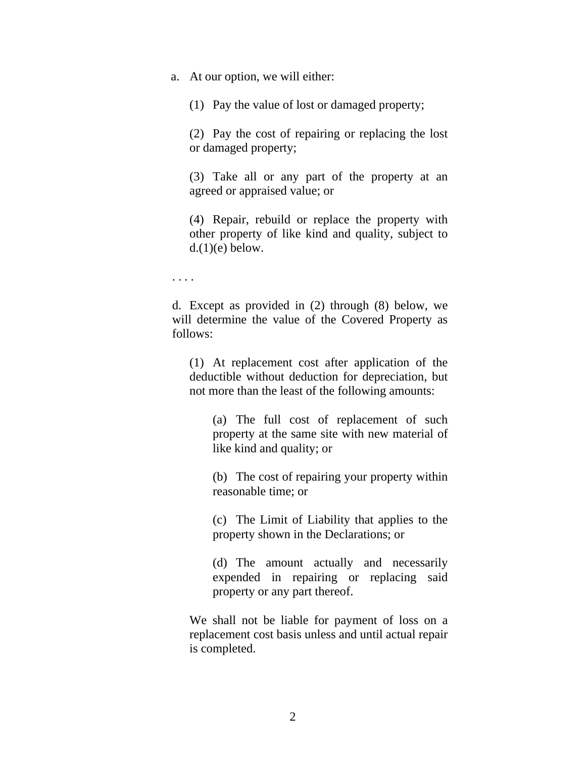a. At our option, we will either:

(1) Pay the value of lost or damaged property;

(2) Pay the cost of repairing or replacing the lost or damaged property;

(3) Take all or any part of the property at an agreed or appraised value; or

(4) Repair, rebuild or replace the property with other property of like kind and quality, subject to  $d(1)(e)$  below.

. . . .

d. Except as provided in (2) through (8) below, we will determine the value of the Covered Property as follows:

(1) At replacement cost after application of the deductible without deduction for depreciation, but not more than the least of the following amounts:

(a) The full cost of replacement of such property at the same site with new material of like kind and quality; or

(b) The cost of repairing your property within reasonable time; or

(c) The Limit of Liability that applies to the property shown in the Declarations; or

(d) The amount actually and necessarily expended in repairing or replacing said property or any part thereof.

We shall not be liable for payment of loss on a replacement cost basis unless and until actual repair is completed.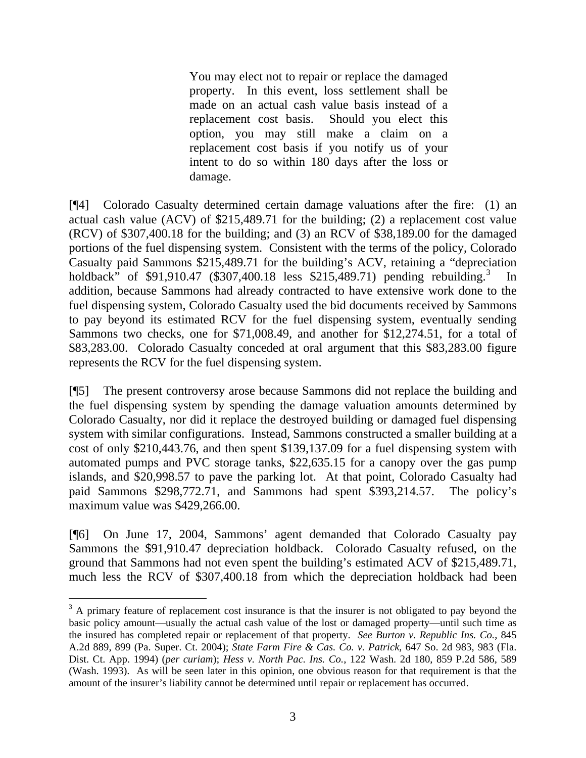You may elect not to repair or replace the damaged property. In this event, loss settlement shall be made on an actual cash value basis instead of a replacement cost basis. Should you elect this option, you may still make a claim on a replacement cost basis if you notify us of your intent to do so within 180 days after the loss or damage.

[¶4] Colorado Casualty determined certain damage valuations after the fire: (1) an actual cash value (ACV) of \$215,489.71 for the building; (2) a replacement cost value (RCV) of \$307,400.18 for the building; and (3) an RCV of \$38,189.00 for the damaged portions of the fuel dispensing system. Consistent with the terms of the policy, Colorado Casualty paid Sammons \$215,489.71 for the building's ACV, retaining a "depreciation holdback" of \$91,910.47 (\$[3](#page-3-0)07,400.18 less \$215,489.71) pending rebuilding.<sup>3</sup> In addition, because Sammons had already contracted to have extensive work done to the fuel dispensing system, Colorado Casualty used the bid documents received by Sammons to pay beyond its estimated RCV for the fuel dispensing system, eventually sending Sammons two checks, one for \$71,008.49, and another for \$12,274.51, for a total of \$83,283.00. Colorado Casualty conceded at oral argument that this \$83,283.00 figure represents the RCV for the fuel dispensing system.

[¶5] The present controversy arose because Sammons did not replace the building and the fuel dispensing system by spending the damage valuation amounts determined by Colorado Casualty, nor did it replace the destroyed building or damaged fuel dispensing system with similar configurations. Instead, Sammons constructed a smaller building at a cost of only \$210,443.76, and then spent \$139,137.09 for a fuel dispensing system with automated pumps and PVC storage tanks, \$22,635.15 for a canopy over the gas pump islands, and \$20,998.57 to pave the parking lot. At that point, Colorado Casualty had paid Sammons \$298,772.71, and Sammons had spent \$393,214.57. The policy's maximum value was \$429,266.00.

[¶6] On June 17, 2004, Sammons' agent demanded that Colorado Casualty pay Sammons the \$91,910.47 depreciation holdback. Colorado Casualty refused, on the ground that Sammons had not even spent the building's estimated ACV of \$215,489.71, much less the RCV of \$307,400.18 from which the depreciation holdback had been

<span id="page-3-0"></span> $3$  A primary feature of replacement cost insurance is that the insurer is not obligated to pay beyond the basic policy amount—usually the actual cash value of the lost or damaged property—until such time as the insured has completed repair or replacement of that property. *See Burton v. Republic Ins. Co.*, 845 A.2d 889, 899 (Pa. Super. Ct. 2004); *State Farm Fire & Cas. Co. v. Patrick*, 647 So. 2d 983, 983 (Fla. Dist. Ct. App. 1994) (*per curiam*); *Hess v. North Pac. Ins. Co.*, 122 Wash. 2d 180, 859 P.2d 586, 589 (Wash. 1993). As will be seen later in this opinion, one obvious reason for that requirement is that the amount of the insurer's liability cannot be determined until repair or replacement has occurred.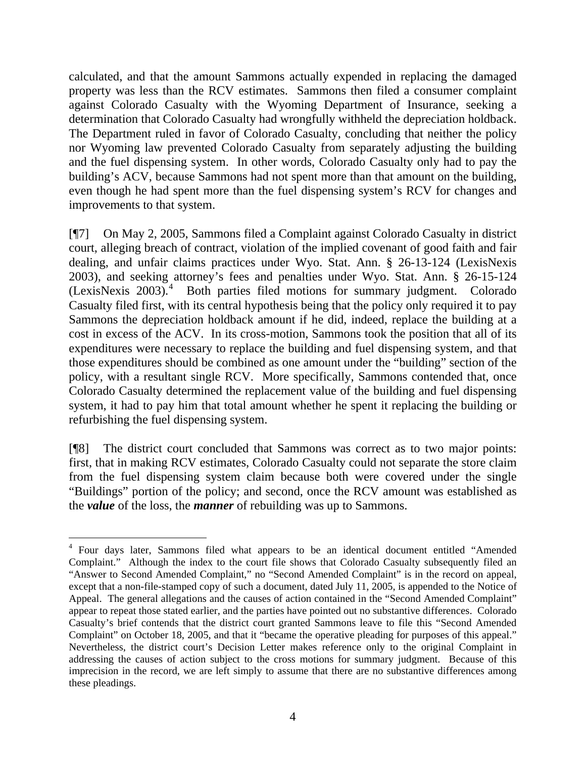calculated, and that the amount Sammons actually expended in replacing the damaged property was less than the RCV estimates. Sammons then filed a consumer complaint against Colorado Casualty with the Wyoming Department of Insurance, seeking a determination that Colorado Casualty had wrongfully withheld the depreciation holdback. The Department ruled in favor of Colorado Casualty, concluding that neither the policy nor Wyoming law prevented Colorado Casualty from separately adjusting the building and the fuel dispensing system. In other words, Colorado Casualty only had to pay the building's ACV, because Sammons had not spent more than that amount on the building, even though he had spent more than the fuel dispensing system's RCV for changes and improvements to that system.

[¶7] On May 2, 2005, Sammons filed a Complaint against Colorado Casualty in district court, alleging breach of contract, violation of the implied covenant of good faith and fair dealing, and unfair claims practices under Wyo. Stat. Ann. § 26-13-124 (LexisNexis 2003), and seeking attorney's fees and penalties under Wyo. Stat. Ann. § 26-15-124 (LexisNexis 2003).<sup>[4](#page-4-0)</sup> Both parties filed motions for summary judgment. Colorado Casualty filed first, with its central hypothesis being that the policy only required it to pay Sammons the depreciation holdback amount if he did, indeed, replace the building at a cost in excess of the ACV. In its cross-motion, Sammons took the position that all of its expenditures were necessary to replace the building and fuel dispensing system, and that those expenditures should be combined as one amount under the "building" section of the policy, with a resultant single RCV. More specifically, Sammons contended that, once Colorado Casualty determined the replacement value of the building and fuel dispensing system, it had to pay him that total amount whether he spent it replacing the building or refurbishing the fuel dispensing system.

[¶8] The district court concluded that Sammons was correct as to two major points: first, that in making RCV estimates, Colorado Casualty could not separate the store claim from the fuel dispensing system claim because both were covered under the single "Buildings" portion of the policy; and second, once the RCV amount was established as the *value* of the loss, the *manner* of rebuilding was up to Sammons.

<span id="page-4-0"></span><sup>&</sup>lt;sup>4</sup> Four days later, Sammons filed what appears to be an identical document entitled "Amended Complaint." Although the index to the court file shows that Colorado Casualty subsequently filed an "Answer to Second Amended Complaint," no "Second Amended Complaint" is in the record on appeal, except that a non-file-stamped copy of such a document, dated July 11, 2005, is appended to the Notice of Appeal. The general allegations and the causes of action contained in the "Second Amended Complaint" appear to repeat those stated earlier, and the parties have pointed out no substantive differences. Colorado Casualty's brief contends that the district court granted Sammons leave to file this "Second Amended Complaint" on October 18, 2005, and that it "became the operative pleading for purposes of this appeal." Nevertheless, the district court's Decision Letter makes reference only to the original Complaint in addressing the causes of action subject to the cross motions for summary judgment. Because of this imprecision in the record, we are left simply to assume that there are no substantive differences among these pleadings.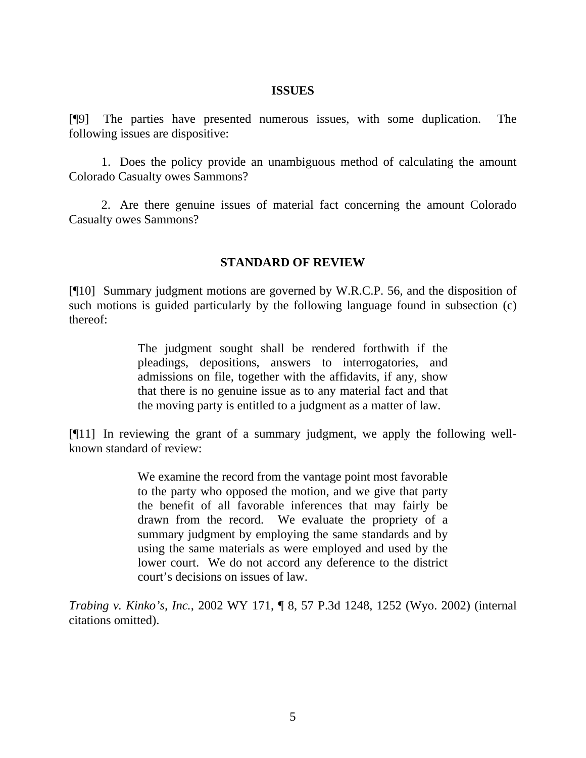#### **ISSUES**

[¶9] The parties have presented numerous issues, with some duplication. The following issues are dispositive:

 1. Does the policy provide an unambiguous method of calculating the amount Colorado Casualty owes Sammons?

 2. Are there genuine issues of material fact concerning the amount Colorado Casualty owes Sammons?

## **STANDARD OF REVIEW**

[¶10] Summary judgment motions are governed by W.R.C.P. 56, and the disposition of such motions is guided particularly by the following language found in subsection (c) thereof:

> The judgment sought shall be rendered forthwith if the pleadings, depositions, answers to interrogatories, and admissions on file, together with the affidavits, if any, show that there is no genuine issue as to any material fact and that the moving party is entitled to a judgment as a matter of law.

[¶11] In reviewing the grant of a summary judgment, we apply the following wellknown standard of review:

> We examine the record from the vantage point most favorable to the party who opposed the motion, and we give that party the benefit of all favorable inferences that may fairly be drawn from the record. We evaluate the propriety of a summary judgment by employing the same standards and by using the same materials as were employed and used by the lower court. We do not accord any deference to the district court's decisions on issues of law.

*Trabing v. Kinko's, Inc.*, 2002 WY 171, ¶ 8, 57 P.3d 1248, 1252 (Wyo. 2002) (internal citations omitted).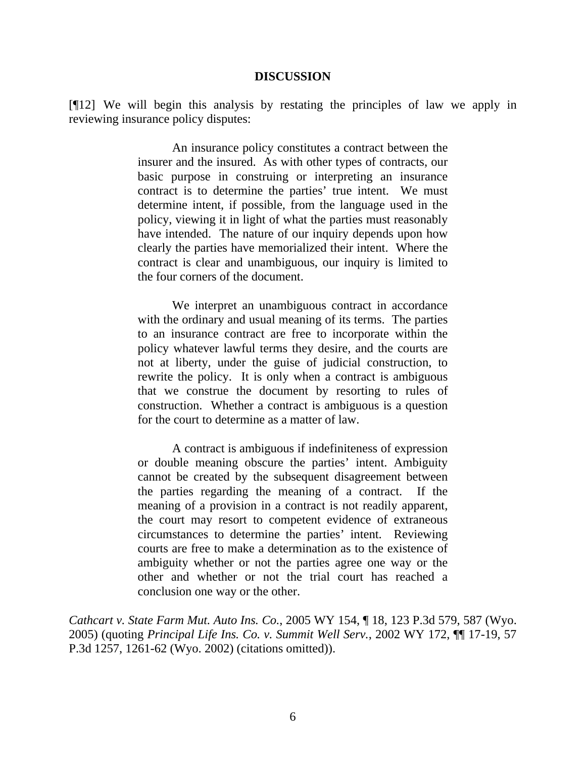#### **DISCUSSION**

[¶12] We will begin this analysis by restating the principles of law we apply in reviewing insurance policy disputes:

> An insurance policy constitutes a contract between the insurer and the insured. As with other types of contracts, our basic purpose in construing or interpreting an insurance contract is to determine the parties' true intent. We must determine intent, if possible, from the language used in the policy, viewing it in light of what the parties must reasonably have intended. The nature of our inquiry depends upon how clearly the parties have memorialized their intent. Where the contract is clear and unambiguous, our inquiry is limited to the four corners of the document.

> We interpret an unambiguous contract in accordance with the ordinary and usual meaning of its terms. The parties to an insurance contract are free to incorporate within the policy whatever lawful terms they desire, and the courts are not at liberty, under the guise of judicial construction, to rewrite the policy. It is only when a contract is ambiguous that we construe the document by resorting to rules of construction. Whether a contract is ambiguous is a question for the court to determine as a matter of law.

> A contract is ambiguous if indefiniteness of expression or double meaning obscure the parties' intent. Ambiguity cannot be created by the subsequent disagreement between the parties regarding the meaning of a contract. If the meaning of a provision in a contract is not readily apparent, the court may resort to competent evidence of extraneous circumstances to determine the parties' intent. Reviewing courts are free to make a determination as to the existence of ambiguity whether or not the parties agree one way or the other and whether or not the trial court has reached a conclusion one way or the other.

*Cathcart v. State Farm Mut. Auto Ins. Co.*, 2005 WY 154, ¶ 18, 123 P.3d 579, 587 (Wyo. 2005) (quoting *Principal Life Ins. Co. v. Summit Well Serv.*, 2002 WY 172, ¶¶ 17-19, 57 P.3d 1257, 1261-62 (Wyo. 2002) (citations omitted)).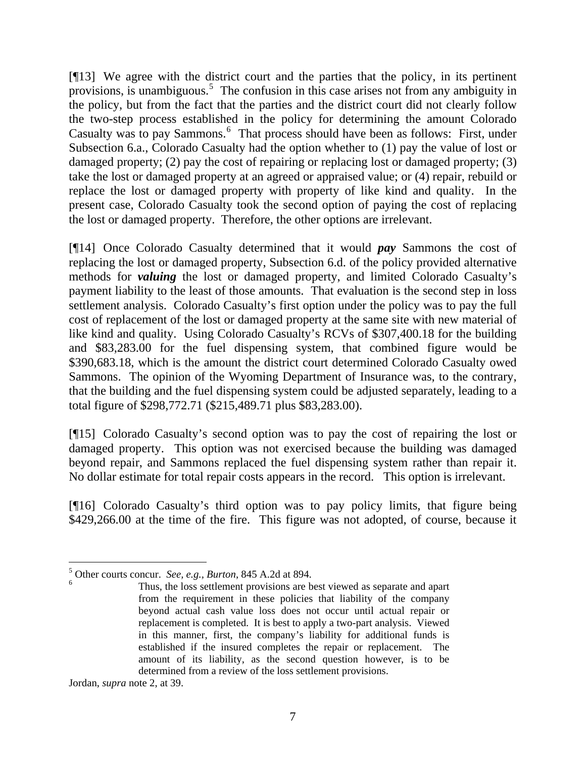[¶13] We agree with the district court and the parties that the policy, in its pertinent provisions, is unambiguous.<sup>[5](#page-7-0)</sup> The confusion in this case arises not from any ambiguity in the policy, but from the fact that the parties and the district court did not clearly follow the two-step process established in the policy for determining the amount Colorado Casualty was to pay Sammons.<sup>[6](#page-7-1)</sup> That process should have been as follows: First, under Subsection 6.a., Colorado Casualty had the option whether to (1) pay the value of lost or damaged property; (2) pay the cost of repairing or replacing lost or damaged property; (3) take the lost or damaged property at an agreed or appraised value; or (4) repair, rebuild or replace the lost or damaged property with property of like kind and quality. In the present case, Colorado Casualty took the second option of paying the cost of replacing the lost or damaged property. Therefore, the other options are irrelevant.

[¶14] Once Colorado Casualty determined that it would *pay* Sammons the cost of replacing the lost or damaged property, Subsection 6.d. of the policy provided alternative methods for *valuing* the lost or damaged property, and limited Colorado Casualty's payment liability to the least of those amounts. That evaluation is the second step in loss settlement analysis. Colorado Casualty's first option under the policy was to pay the full cost of replacement of the lost or damaged property at the same site with new material of like kind and quality. Using Colorado Casualty's RCVs of \$307,400.18 for the building and \$83,283.00 for the fuel dispensing system, that combined figure would be \$390,683.18, which is the amount the district court determined Colorado Casualty owed Sammons. The opinion of the Wyoming Department of Insurance was, to the contrary, that the building and the fuel dispensing system could be adjusted separately, leading to a total figure of \$298,772.71 (\$215,489.71 plus \$83,283.00).

[¶15] Colorado Casualty's second option was to pay the cost of repairing the lost or damaged property. This option was not exercised because the building was damaged beyond repair, and Sammons replaced the fuel dispensing system rather than repair it. No dollar estimate for total repair costs appears in the record. This option is irrelevant.

[¶16] Colorado Casualty's third option was to pay policy limits, that figure being \$429,266.00 at the time of the fire. This figure was not adopted, of course, because it

Jordan, *supra* note 2, at 39.

<span id="page-7-1"></span><span id="page-7-0"></span><sup>5</sup> Other courts concur. *See, e.g., Burton*, 845 A.2d at 894. 6

Thus, the loss settlement provisions are best viewed as separate and apart from the requirement in these policies that liability of the company beyond actual cash value loss does not occur until actual repair or replacement is completed. It is best to apply a two-part analysis. Viewed in this manner, first, the company's liability for additional funds is established if the insured completes the repair or replacement. The amount of its liability, as the second question however, is to be determined from a review of the loss settlement provisions.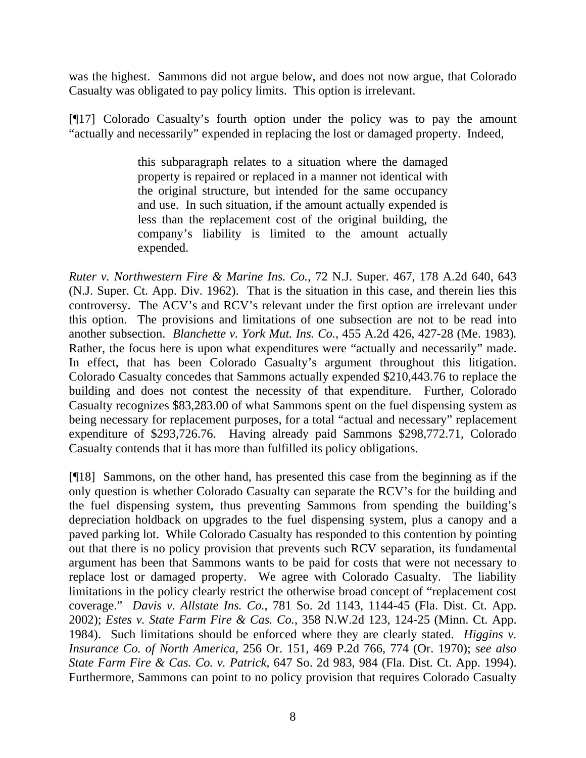was the highest. Sammons did not argue below, and does not now argue, that Colorado Casualty was obligated to pay policy limits. This option is irrelevant.

[¶17] Colorado Casualty's fourth option under the policy was to pay the amount "actually and necessarily" expended in replacing the lost or damaged property. Indeed,

> this subparagraph relates to a situation where the damaged property is repaired or replaced in a manner not identical with the original structure, but intended for the same occupancy and use. In such situation, if the amount actually expended is less than the replacement cost of the original building, the company's liability is limited to the amount actually expended.

*Ruter v. Northwestern Fire & Marine Ins. Co.*, 72 N.J. Super. 467, 178 A.2d 640, 643 (N.J. Super. Ct. App. Div. 1962). That is the situation in this case, and therein lies this controversy. The ACV's and RCV's relevant under the first option are irrelevant under this option. The provisions and limitations of one subsection are not to be read into another subsection. *Blanchette v. York Mut. Ins. Co.*, 455 A.2d 426, 427-28 (Me. 1983)*.* Rather, the focus here is upon what expenditures were "actually and necessarily" made. In effect, that has been Colorado Casualty's argument throughout this litigation. Colorado Casualty concedes that Sammons actually expended \$210,443.76 to replace the building and does not contest the necessity of that expenditure. Further, Colorado Casualty recognizes \$83,283.00 of what Sammons spent on the fuel dispensing system as being necessary for replacement purposes, for a total "actual and necessary" replacement expenditure of \$293,726.76. Having already paid Sammons \$298,772.71, Colorado Casualty contends that it has more than fulfilled its policy obligations.

[¶18] Sammons, on the other hand, has presented this case from the beginning as if the only question is whether Colorado Casualty can separate the RCV's for the building and the fuel dispensing system, thus preventing Sammons from spending the building's depreciation holdback on upgrades to the fuel dispensing system, plus a canopy and a paved parking lot. While Colorado Casualty has responded to this contention by pointing out that there is no policy provision that prevents such RCV separation, its fundamental argument has been that Sammons wants to be paid for costs that were not necessary to replace lost or damaged property. We agree with Colorado Casualty. The liability limitations in the policy clearly restrict the otherwise broad concept of "replacement cost coverage." *Davis v. Allstate Ins. Co.*, 781 So. 2d 1143, 1144-45 (Fla. Dist. Ct. App. 2002); *Estes v. State Farm Fire & Cas. Co.*, 358 N.W.2d 123, 124-25 (Minn. Ct. App. 1984). Such limitations should be enforced where they are clearly stated. *Higgins v. Insurance Co. of North America*, 256 Or. 151, 469 P.2d 766, 774 (Or. 1970); *see also State Farm Fire & Cas. Co. v. Patrick*, 647 So. 2d 983, 984 (Fla. Dist. Ct. App. 1994). Furthermore, Sammons can point to no policy provision that requires Colorado Casualty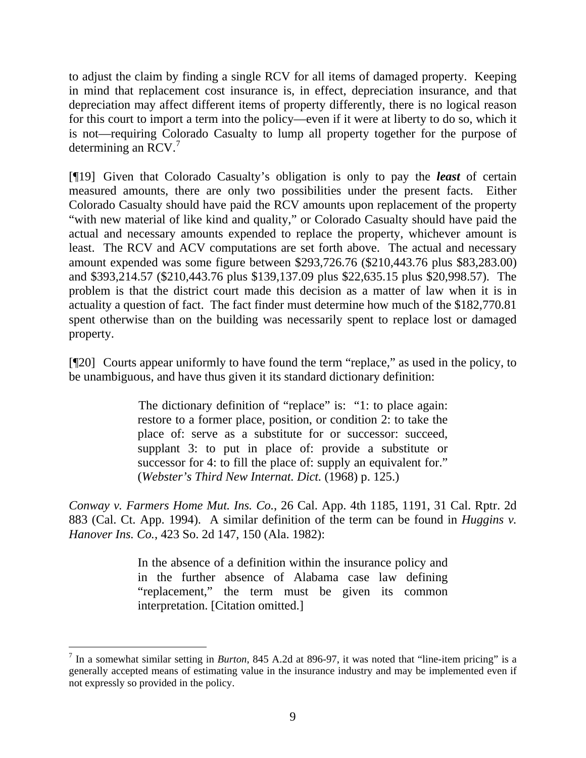to adjust the claim by finding a single RCV for all items of damaged property. Keeping in mind that replacement cost insurance is, in effect, depreciation insurance, and that depreciation may affect different items of property differently, there is no logical reason for this court to import a term into the policy—even if it were at liberty to do so, which it is not—requiring Colorado Casualty to lump all property together for the purpose of determining an RCV. $<sup>7</sup>$  $<sup>7</sup>$  $<sup>7</sup>$ </sup>

[¶19] Given that Colorado Casualty's obligation is only to pay the *least* of certain measured amounts, there are only two possibilities under the present facts. Either Colorado Casualty should have paid the RCV amounts upon replacement of the property "with new material of like kind and quality," or Colorado Casualty should have paid the actual and necessary amounts expended to replace the property, whichever amount is least. The RCV and ACV computations are set forth above. The actual and necessary amount expended was some figure between \$293,726.76 (\$210,443.76 plus \$83,283.00) and \$393,214.57 (\$210,443.76 plus \$139,137.09 plus \$22,635.15 plus \$20,998.57). The problem is that the district court made this decision as a matter of law when it is in actuality a question of fact. The fact finder must determine how much of the \$182,770.81 spent otherwise than on the building was necessarily spent to replace lost or damaged property.

[¶20] Courts appear uniformly to have found the term "replace," as used in the policy, to be unambiguous, and have thus given it its standard dictionary definition:

> The dictionary definition of "replace" is: "1: to place again: restore to a former place, position, or condition 2: to take the place of: serve as a substitute for or successor: succeed, supplant 3: to put in place of: provide a substitute or successor for 4: to fill the place of: supply an equivalent for." (*Webster's Third New Internat. Dict.* (1968) p. 125.)

*Conway v. Farmers Home Mut. Ins. Co.*, 26 Cal. App. 4th 1185, 1191, 31 Cal. Rptr. 2d 883 (Cal. Ct. App. 1994). A similar definition of the term can be found in *Huggins v. Hanover Ins. Co.*, 423 So. 2d 147, 150 (Ala. 1982):

> In the absence of a definition within the insurance policy and in the further absence of Alabama case law defining "replacement," the term must be given its common interpretation. [Citation omitted.]

<span id="page-9-0"></span> 7 In a somewhat similar setting in *Burton*, 845 A.2d at 896-97, it was noted that "line-item pricing" is a generally accepted means of estimating value in the insurance industry and may be implemented even if not expressly so provided in the policy.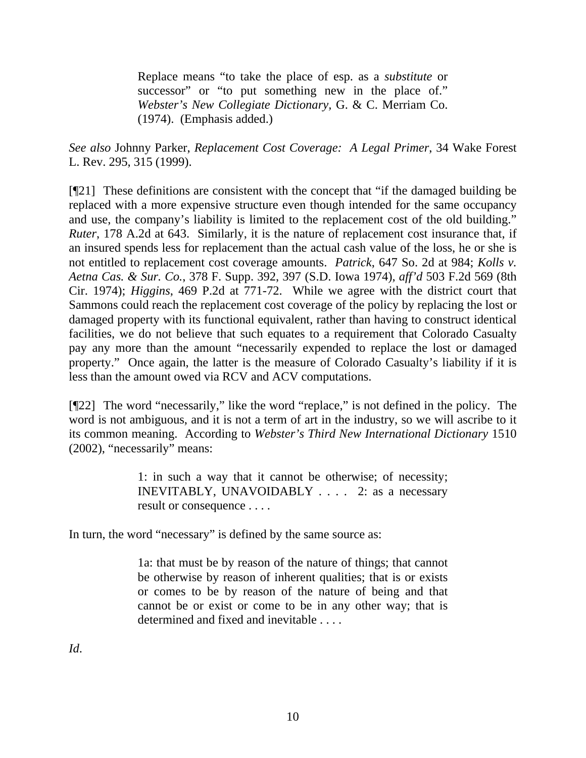Replace means "to take the place of esp. as a *substitute* or successor" or "to put something new in the place of." *Webster's New Collegiate Dictionary,* G. & C. Merriam Co. (1974). (Emphasis added.)

*See also* Johnny Parker, *Replacement Cost Coverage: A Legal Primer*, 34 Wake Forest L. Rev. 295, 315 (1999).

[¶21] These definitions are consistent with the concept that "if the damaged building be replaced with a more expensive structure even though intended for the same occupancy and use, the company's liability is limited to the replacement cost of the old building." *Ruter*, 178 A.2d at 643. Similarly, it is the nature of replacement cost insurance that, if an insured spends less for replacement than the actual cash value of the loss, he or she is not entitled to replacement cost coverage amounts. *Patrick*, 647 So. 2d at 984; *Kolls v. Aetna Cas. & Sur. Co.*, 378 F. Supp. 392, 397 (S.D. Iowa 1974), *aff'd* 503 F.2d 569 (8th Cir. 1974); *Higgins*, 469 P.2d at 771-72. While we agree with the district court that Sammons could reach the replacement cost coverage of the policy by replacing the lost or damaged property with its functional equivalent, rather than having to construct identical facilities, we do not believe that such equates to a requirement that Colorado Casualty pay any more than the amount "necessarily expended to replace the lost or damaged property." Once again, the latter is the measure of Colorado Casualty's liability if it is less than the amount owed via RCV and ACV computations.

[¶22] The word "necessarily," like the word "replace," is not defined in the policy. The word is not ambiguous, and it is not a term of art in the industry, so we will ascribe to it its common meaning. According to *Webster's Third New International Dictionary* 1510 (2002), "necessarily" means:

> 1: in such a way that it cannot be otherwise; of necessity; INEVITABLY, UNAVOIDABLY . . . . 2: as a necessary result or consequence . . . .

In turn, the word "necessary" is defined by the same source as:

1a: that must be by reason of the nature of things; that cannot be otherwise by reason of inherent qualities; that is or exists or comes to be by reason of the nature of being and that cannot be or exist or come to be in any other way; that is determined and fixed and inevitable . . . .

*Id*.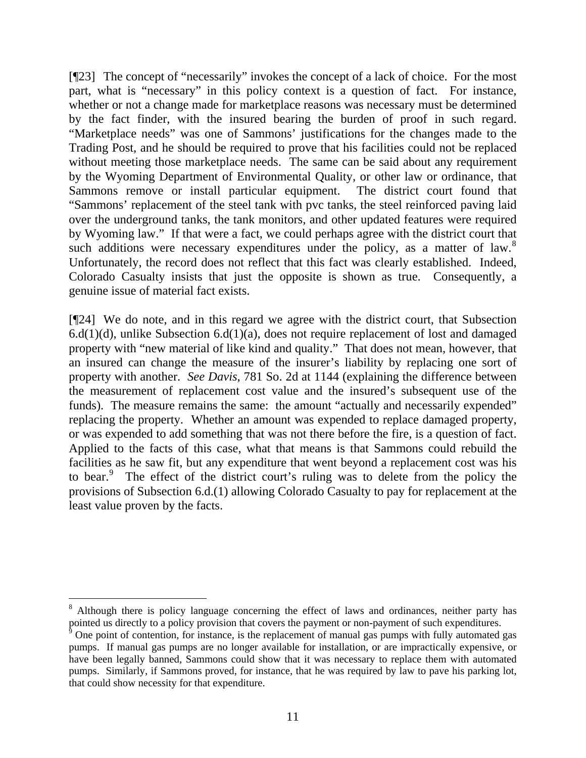[¶23] The concept of "necessarily" invokes the concept of a lack of choice. For the most part, what is "necessary" in this policy context is a question of fact. For instance, whether or not a change made for marketplace reasons was necessary must be determined by the fact finder, with the insured bearing the burden of proof in such regard. "Marketplace needs" was one of Sammons' justifications for the changes made to the Trading Post, and he should be required to prove that his facilities could not be replaced without meeting those marketplace needs. The same can be said about any requirement by the Wyoming Department of Environmental Quality, or other law or ordinance, that Sammons remove or install particular equipment. The district court found that "Sammons' replacement of the steel tank with pvc tanks, the steel reinforced paving laid over the underground tanks, the tank monitors, and other updated features were required by Wyoming law." If that were a fact, we could perhaps agree with the district court that such additions were necessary expenditures under the policy, as a matter of law.<sup>[8](#page-11-0)</sup> Unfortunately, the record does not reflect that this fact was clearly established. Indeed, Colorado Casualty insists that just the opposite is shown as true. Consequently, a genuine issue of material fact exists.

[¶24] We do note, and in this regard we agree with the district court, that Subsection  $6.d(1)(d)$ , unlike Subsection  $6.d(1)(a)$ , does not require replacement of lost and damaged property with "new material of like kind and quality." That does not mean, however, that an insured can change the measure of the insurer's liability by replacing one sort of property with another. *See Davis*, 781 So. 2d at 1144 (explaining the difference between the measurement of replacement cost value and the insured's subsequent use of the funds). The measure remains the same: the amount "actually and necessarily expended" replacing the property. Whether an amount was expended to replace damaged property, or was expended to add something that was not there before the fire, is a question of fact. Applied to the facts of this case, what that means is that Sammons could rebuild the facilities as he saw fit, but any expenditure that went beyond a replacement cost was his to bear.<sup>[9](#page-11-1)</sup> The effect of the district court's ruling was to delete from the policy the provisions of Subsection 6.d.(1) allowing Colorado Casualty to pay for replacement at the least value proven by the facts.

<span id="page-11-0"></span><sup>&</sup>lt;sup>8</sup> Although there is policy language concerning the effect of laws and ordinances, neither party has pointed us directly to a policy provision that covers the payment or non-payment of such expenditures.

<span id="page-11-1"></span> $9$  One point of contention, for instance, is the replacement of manual gas pumps with fully automated gas pumps. If manual gas pumps are no longer available for installation, or are impractically expensive, or have been legally banned, Sammons could show that it was necessary to replace them with automated pumps. Similarly, if Sammons proved, for instance, that he was required by law to pave his parking lot, that could show necessity for that expenditure.